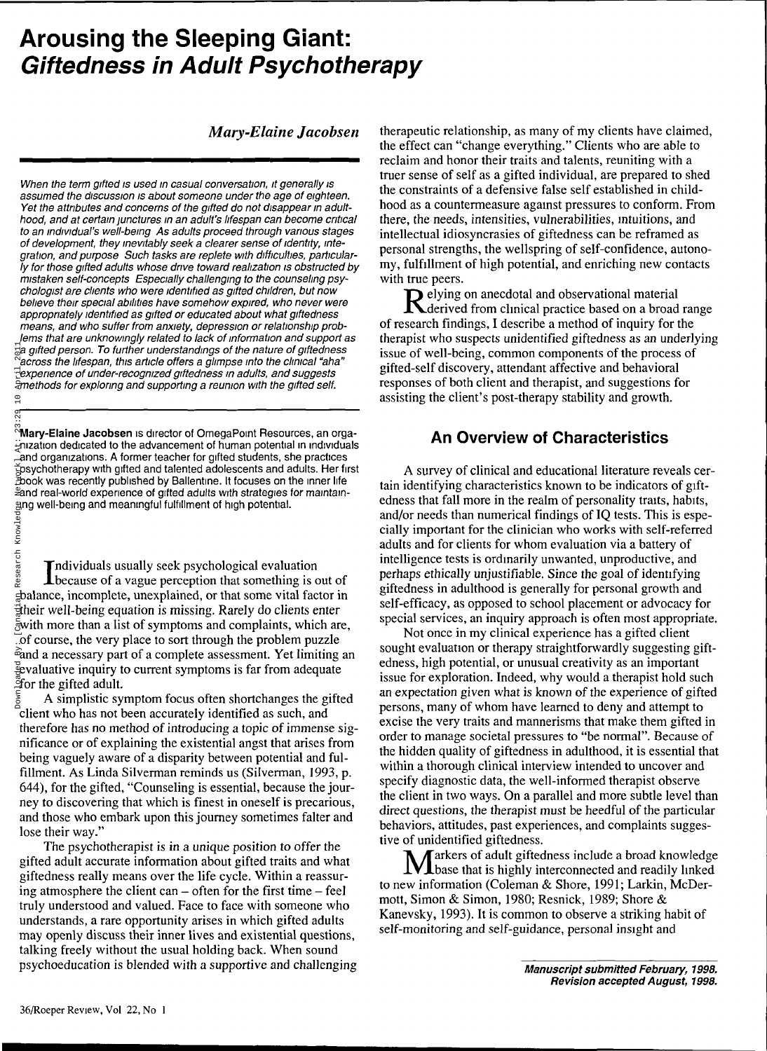# **Arousing the Sleeping Giant: Giftedness in Adult Psychotherapy**

#### *Mary-Elaine Jacobsen*

When the term gifted is used in casual conversation, it generally is assumed the discussion is about someone under the age of eighteen. Yet the attributes and concerns of the gifted do not disappear in adulthood, and at certain junctures in an adult's lifespan can become critical to an individual's well-being. As adults proceed through various stages of development, they inevitably seek a clearer sense of identity, integration, and purpose. Such tasks are replete with difficulties, particularly for those gifted adults whose drive toward realization is obstructed by mistaken self-concepts. Especially challenging to the counseling psychologist are clients who were identified as gifted children, but now believe their special abilities have somehow expired, who never were appropriately identified as gifted or educated about what giftedness means, and who suffer from anxiety, depression or relationship problems that are unknowingly related to lack of information and support as  $\exists$ a gifted person. To further understandings of the nature of giftedness across the lifespan, this article offers a glimpse into the clinical "aha" experience of under-recognized giftedness in adults, and suggests methods for exploring and supporting a reunion with the gifted self.

**Mary-Elaine Jacobsen** is director of OmegaPoint Resources, an organization dedicated to the advancement of human potential in individuals and organizations. A former teacher for gifted students, she practices psychotherapy with gifted and talented adolescents and adults. Her first book was recently published by Ballentine. It focuses on the inner life and real-world experience of gifted adults with strategies for maintainging well-being and meaningful fulfillment of high potential.

Individuals usually seek psychological evaluation<br>that something is to class that the contract of the set of the set of the set of the set of the set of the set of the set of the set of the set of the set of the set of the because of a vague perception that something is out of balance, incomplete, unexplained, or that some vital factor in their well-being equation is missing. Rarely do clients enter with more than a list of symptoms and complaints, which are, of course, the very place to sort through the problem puzzle and a necessary part of a complete assessment. Yet limiting an evaluative inquiry to current symptoms is far from adequate for the gifted adult.

A simplistic symptom focus often shortchanges the gifted client who has not been accurately identified as such, and therefore has no method of introducing a topic of immense significance or of explaining the existential angst that arises from being vaguely aware of a disparity between potential and fulfillment. As Linda Silverman reminds us (Silverman, 1993, p. 644), for the gifted, "Counseling is essential, because the journey to discovering that which is finest in oneself is precarious, and those who embark upon this journey sometimes falter and lose their way." Early and person. To further under<br>Pacross the lifespan, this article<br>Pacross the interacognizes<br>are those for exploring and supper<br>and organizations. A former team organization dedicated to the advariand organizations. A

The psychotherapist is in a unique position to offer the gifted adult accurate information about gifted traits and what giftedness really means over the life cycle. Within a reassuring atmosphere the client can  $-$  often for the first time  $-$  feel truly understood and valued. Face to face with someone who understands, a rare opportunity arises in which gifted adults may openly discuss their inner lives and existential questions, talking freely without the usual holding back. When sound psychoeducation is blended with a supportive and challenging

therapeutic relationship, as many of my clients have claimed, the effect can "change everything." Clients who are able to reclaim and honor their traits and talents, reuniting with a truer sense of self as a gifted individual, are prepared to shed the constraints of a defensive false self established in childhood as a countermeasure against pressures to conform. From there, the needs, intensities, vulnerabilities, intuitions, and intellectual idiosyncrasies of giftedness can be reframed as personal strengths, the wellspring of self-confidence, autonomy, fulfillment of high potential, and enriching new contacts with true peers.

Relying on anecdotal and observational material<br>Relevived from clinical practice based on a broad derived from clinical practice based on a broad range of research findings, I describe a method of inquiry for the therapist who suspects unidentified giftedness as an underlying issue of well-being, common components of the process of gifted-self discovery, attendant affective and behavioral responses of both client and therapist, and suggestions for assisting the client's post-therapy stability and growth.

## An Overview of Characteristics

A survey of clinical and educational literature reveals certain identifying characteristics known to be indicators of giftedness that fall more in the realm of personality traits, habits, and/or needs than numerical findings of IQ tests. This is especially important for the clinician who works with self-referred adults and for clients for whom evaluation via a battery of intelligence tests is ordinarily unwanted, unproductive, and perhaps ethically unjustifiable. Since the goal of identifying giftedness in adulthood is generally for personal growth and self-efficacy, as opposed to school placement or advocacy for special services, an inquiry approach is often most appropriate.

Not once in my clinical experience has a gifted client sought evaluation or therapy straightforwardly suggesting giftedness, high potential, or unusual creativity as an important issue for exploration. Indeed, why would a therapist hold such an expectation given what is known of the experience of gifted persons, many of whom have learned to deny and attempt to excise the very traits and mannerisms that make them gifted in order to manage societal pressures to "be normal". Because of the hidden quality of giftedness in adulthood, it is essential that within a thorough clinical interview intended to uncover and specify diagnostic data, the well-informed therapist observe the client in two ways. On a parallel and more subtle level than direct questions, the therapist must be heedful of the particular behaviors, attitudes, past experiences, and complaints suggestive of unidentified giftedness.

Markers of adult giftedness include a broad knowledge<br>base that is highly interconnected and readily linked to new information (Coleman & Shore, 1991; Larkin, McDermott, Simon & Simon, 1980; Resnick, 1989; Shore & Kanevsky, 1993). It is common to observe a striking habit of self-monitoring and self-guidance, personal insight and

> **Manuscript submitted February, 1998. Revision accepted August, 1998.**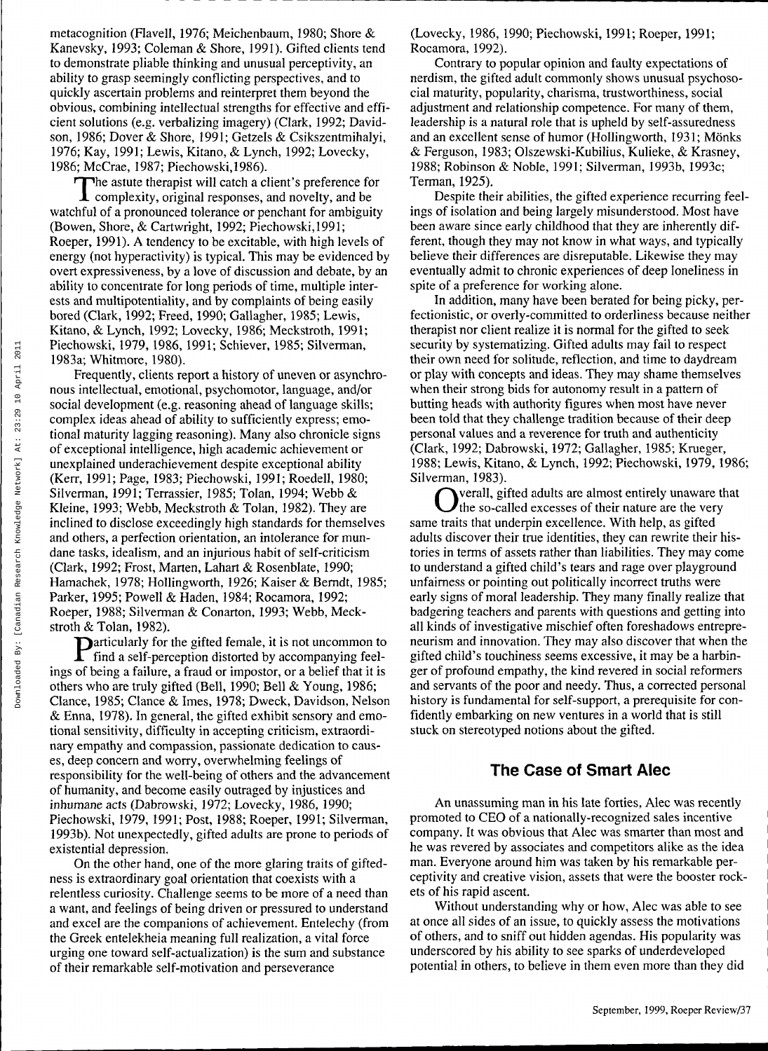metacognition (Flavell, 1976; Meichenbaum, 1980; Shore & Kanevsky, 1993; Coleman & Shore, 1991). Gifted clients tend to demonstrate pliable thinking and unusual perceptivity, an ability to grasp seemingly conflicting perspectives, and to quickly ascertain problems and reinterpret them beyond the obvious, combining intellectual strengths for effective and efficient solutions (e.g. verbalizing imagery) (Clark, 1992; Davidson, 1986; Dover & Shore, 1991; Getzels & Csikszentmihalyi, 1976; Kay, 1991; Lewis, Kitano, & Lynch, 1992; Lovecky, 1986; McCrae, 1987; Piechowski,1986).

The astute therapist will catch a client's preference for complexity, original responses, and novelty, and be he astute therapist will catch a client's preference for watchful of a pronounced tolerance or penchant for ambiguity (Bowen, Shore, & Cartwright, 1992; Piechowski,1991; Roeper, 1991). A tendency to be excitable, with high levels of energy (not hyperactivity) is typical. This may be evidenced by overt expressiveness, by a love of discussion and debate, by an ability to concentrate for long periods of time, multiple interests and multipotentiality, and by complaints of being easily bored (Clark, 1992; Freed, 1990; Gallagher, 1985; Lewis, Kitano, & Lynch, 1992; Lovecky, 1986; Meckstroth, 1991; Piechowski, 1979,1986, 1991; Schiever, 1985; Silverman, 1983a; Whitmore, 1980).

Frequently, clients report a history of uneven or asynchronous intellectual, emotional, psychomotor, language, and/or social development (e.g. reasoning ahead of language skills; complex ideas ahead of ability to sufficiently express; emotional maturity lagging reasoning). Many also chronicle signs of exceptional intelligence, high academic achievement or unexplained underachievement despite exceptional ability (Kerr, 1991; Page, 1983; Piechowski, 1991; Roedell, 1980; Silverman, 1991; Terrassier, 1985; Tolan, 1994; Webb & Kleine, 1993; Webb, Meckstroth & Tolan, 1982). They are inclined to disclose exceedingly high standards for themselves and others, a perfection orientation, an intolerance for mundane tasks, idealism, and an injurious habit of self-criticism (Clark, 1992; Frost, Marten, Lahart & Rosenblate, 1990; Hamachek, 1978; Hollingworth, 1926; Kaiser & Berndt, 1985; Parker, 1995; Powell & Haden, 1984; Rocamora, 1992; Roeper, 1988; Silverman & Conarton, 1993; Webb, Meckstroth & Tolan, 1982).

P articularly for the gifted female, it is not uncommon to find a self-perception distorted by accompanying feelings of being a failure, a fraud or impostor, or a belief that it is others who are truly gifted (Bell, 1990; Bell & Young, 1986; Clance, 1985; Clance & Imes, 1978; Dweck, Davidson, Nelson & Enna, 1978). In general, the gifted exhibit sensory and emotional sensitivity, difficulty in accepting criticism, extraordinary empathy and compassion, passionate dedication to causes, deep concern and worry, overwhelming feelings of responsibility for the well-being of others and the advancement of humanity, and become easily outraged by injustices and inhumane acts (Dabrowski, 1972; Lovecky, 1986,1990; Piechowski, 1979, 1991; Post, 1988; Roeper, 1991; Silverman, 1993b). Not unexpectedly, gifted adults are prone to periods of existential depression.

On the other hand, one of the more glaring traits of giftedness is extraordinary goal orientation that coexists with a relentless curiosity. Challenge seems to be more of a need than a want, and feelings of being driven or pressured to understand and excel are the companions of achievement. Entelechy (from the Greek entelekheia meaning full realization, a vital force urging one toward self-actualization) is the sum and substance of their remarkable self-motivation and perseverance

(Lovecky, 1986, 1990; Piechowski, 1991; Roeper, 1991; Rocamora, 1992).

Contrary to popular opinion and faulty expectations of nerdism, the gifted adult commonly shows unusual psychosocial maturity, popularity, charisma, trustworthiness, social adjustment and relationship competence. For many of them, leadership is a natural role that is upheld by self-assuredness and an excellent sense of humor (Hollingworth, 1931; Mönks & Ferguson, 1983; Olszewski-Kubilius, Kulieke, & Krasney, 1988; Robinson & Noble, 1991; Silverman, 1993b, 1993c; Terman, 1925).

Despite their abilities, the gifted experience recurring feelings of isolation and being largely misunderstood. Most have been aware since early childhood that they are inherently different, though they may not know in what ways, and typically believe their differences are disreputable. Likewise they may eventually admit to chronic experiences of deep loneliness in spite of a preference for working alone.

In addition, many have been berated for being picky, perfectionistic, or overly-committed to orderliness because neither therapist nor client realize it is normal for the gifted to seek security by systematizing. Gifted adults may fail to respect their own need for solitude, reflection, and time to daydream or play with concepts and ideas. They may shame themselves when their strong bids for autonomy result in a pattern of butting heads with authority figures when most have never been told that they challenge tradition because of their deep personal values and a reverence for truth and authenticity (Clark, 1992; Dabrowski, 1972; Gallagher, 1985; Krueger, 1988; Lewis, Kitano, & Lynch, 1992; Piechowski, 1979,1986; Silverman, 1983).

Overall, gifted adults are almost entirely unaware the so-called excesses of their nature are the very verall, gifted adults are almost entirely unaware that same traits that underpin excellence. With help, as gifted adults discover their true identities, they can rewrite their histories in terms of assets rather than liabilities. They may come to understand a gifted child's tears and rage over playground unfairness or pointing out politically incorrect truths were early signs of moral leadership. They many finally realize that badgering teachers and parents with questions and getting into all kinds of investigative mischief often foreshadows entrepreneurism and innovation. They may also discover that when the gifted child's touchiness seems excessive, it may be a harbinger of profound empathy, the kind revered in social reformers and servants of the poor and needy. Thus, a corrected personal history is fundamental for self-support, a prerequisite for confidently embarking on new ventures in a world that is still stuck on stereotyped notions about the gifted.

### The Case of Smart Alec

An unassuming man in his late forties, Alec was recently promoted to CEO of a nationally-recognized sales incentive company. It was obvious that Alec was smarter than most and he was revered by associates and competitors alike as the idea man. Everyone around him was taken by his remarkable perceptivity and creative vision, assets that were the booster rockets of his rapid ascent.

Without understanding why or how, Alec was able to see at once all sides of an issue, to quickly assess the motivations of others, and to sniff out hidden agendas. His popularity was underscored by his ability to see sparks of underdeveloped potential in others, to believe in them even more than they did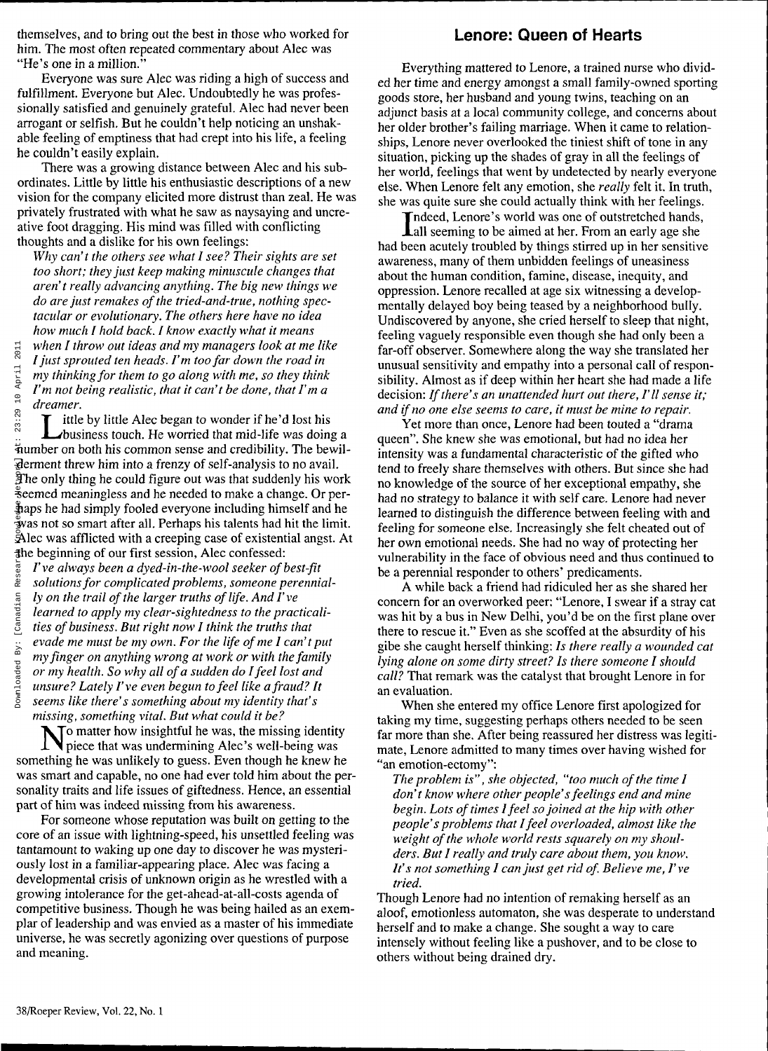themselves, and to bring out the best in those who worked for him. The most often repeated commentary about Alec was "He's one in a million."

Everyone was sure Alec was riding a high of success and fulfillment. Everyone but Alec. Undoubtedly he was professionally satisfied and genuinely grateful. Alec had never been arrogant or selfish. But he couldn't help noticing an unshakable feeling of emptiness that had crept into his life, a feeling he couldn't easily explain.

There was a growing distance between Alec and his subordinates. Little by little his enthusiastic descriptions of a new vision for the company elicited more distrust than zeal. He was privately frustrated with what he saw as naysaying and uncreative foot dragging. His mind was filled with conflicting thoughts and a dislike for his own feelings:

*Why can't the others see what I see? Their sights are set too short; they just keep making minuscule changes that aren't really advancing anything. The big new things we do are just remakes of the tried-and-true, nothing spectacular or evolutionary. The others here have no idea how much I hold back. I know exactly what it means when I throw out ideas and my managers look at me like I just sprouted ten heads. I'm too far down the road in my thinking for them to go along with me, so they think I'm not being realistic, that it can't be done, that I'ma dreamer.*

L ittle by little Alec began to wonder if he'd lost his business touch. He worried that mid-life was doing a number on both his common sense and credibility. The bewilderment threw him into a frenzy of self-analysis to no avail. The only thing he could figure out was that suddenly his work seemed meaningless and he needed to make a change. Or perhaps he had simply fooled everyone including himself and he was not so smart after all. Perhaps his talents had hit the limit. Alec was afflicted with a creeping case of existential angst. At the beginning of our first session, Alec confessed:

*I've always been a dyed-in-the-wool seeker of best-fit solutions for complicated problems, someone perennially on the trail of the larger truths of life. And I've learned to apply my clear-sightedness to the practicalities of business. But right now I think the truths that evade me must be my own. For the life of me I can't put my finger on anything wrong at work or with the family or my health. So why all of a sudden do I feel lost and unsure? Lately I've even begun to feel like a fraud? It seems like there's something about my identity that's missing, something vital. But what could it be?* Earth in the state of this section. Here is not the important three interests of the model and the moment threw him into a formulation. Here is the moment threw him into a fighter on both his commodernment threw him into

No matter how insightful he was, the missing identity<br>piece that was undermining Alec's well-being was piece that was undermining Alec's well-being was something he was unlikely to guess. Even though he knew he was smart and capable, no one had ever told him about the personality traits and life issues of giftedness. Hence, an essential part of him was indeed missing from his awareness.

For someone whose reputation was built on getting to the core of an issue with lightning-speed, his unsettled feeling was tantamount to waking up one day to discover he was mysteriously lost in a familiar-appearing place. Alec was facing a developmental crisis of unknown origin as he wrestled with a growing intolerance for the get-ahead-at-all-costs agenda of competitive business. Though he was being hailed as an exemplar of leadership and was envied as a master of his immediate universe, he was secretly agonizing over questions of purpose and meaning.

# Lenore: Queen of Hearts

Everything mattered to Lenore, a trained nurse who divided her time and energy amongst a small family-owned sporting goods store, her husband and young twins, teaching on an adjunct basis at a local community college, and concerns about her older brother's failing marriage. When it came to relationships, Lenore never overlooked the tiniest shift of tone in any situation, picking up the shades of gray in all the feelings of her world, feelings that went by undetected by nearly everyone else. When Lenore felt any emotion, she *really* felt it. In truth, she was quite sure she could actually think with her feelings.

Indeed, Lenore's world was one of outstretched hands, Lall seeming to be aimed at her. From an early age she had been acutely troubled by things stirred up in her sensitive awareness, many of them unbidden feelings of uneasiness about the human condition, famine, disease, inequity, and oppression. Lenore recalled at age six witnessing a developmentally delayed boy being teased by a neighborhood bully. Undiscovered by anyone, she cried herself to sleep that night, feeling vaguely responsible even though she had only been a far-off observer. Somewhere along the way she translated her unusual sensitivity and empathy into a personal call of responsibility. Almost as if deep within her heart she had made a life decision: *If there's an unattended hurt out there, I'll sense it; and if no one else seems to care, it must be mine to repair.*

Yet more than once, Lenore had been touted a "drama queen". She knew she was emotional, but had no idea her intensity was a fundamental characteristic of the gifted who tend to freely share themselves with others. But since she had no knowledge of the source of her exceptional empathy, she has had no knowledge of the source of her exceptional empathy, she had no strategy to balance it with self care. Lenore had never learned to distinguish the difference between feeling with and feeling for someone else. Increasingly she felt cheated out of her own emotional needs. She had no way of protecting her vulnerability in the face of obvious need and thus continued to be a perennial responder to others' predicaments.

A while back a friend had ridiculed her as she shared her concern for an overworked peer: "Lenore, I swear if a stray cat was hit by a bus in New Delhi, you'd be on the first plane over there to rescue it." Even as she scoffed at the absurdity of his gibe she caught herself thinking: *Is there really a wounded cat lying alone on some dirty street? Is there someone I should call?* That remark was the catalyst that brought Lenore in for an evaluation.

When she entered my office Lenore first apologized for taking my time, suggesting perhaps others needed to be seen far more than she. After being reassured her distress was legitimate, Lenore admitted to many times over having wished for "an emotion-ectomy":

*The problem is", she objected, "too much of the time I don't know where other people's feelings end and mine begin. Lots of times I feel so joined at the hip with other people's problems that I feel overloaded, almost like the weight of the whole world rests squarely on my shoulders. But I really and truly care about them, you know. It's not something I can just get rid of. Believe me,* /' *ve tried.*

Though Lenore had no intention of remaking herself as an aloof, emotionless automaton, she was desperate to understand herself and to make a change. She sought a way to care intensely without feeling like a pushover, and to be close to others without being drained dry.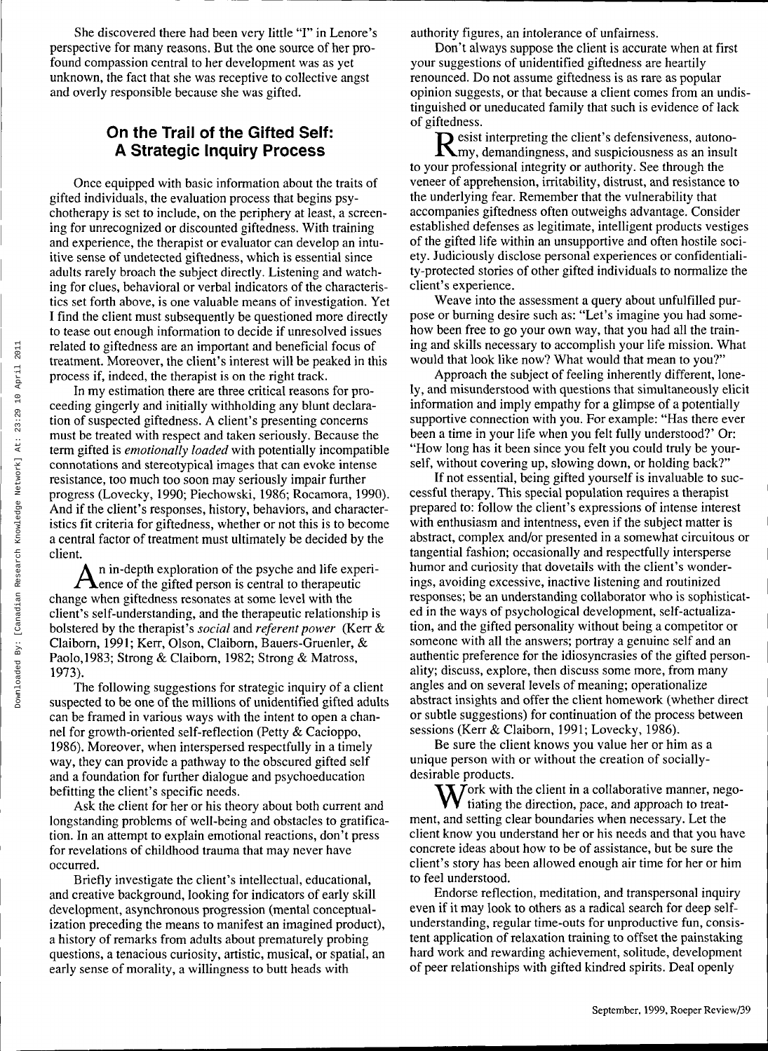She discovered there had been very little "I" in Lenore's perspective for many reasons. But the one source of her profound compassion central to her development was as yet unknown, the fact that she was receptive to collective angst and overly responsible because she was gifted.

# On the Trail of the Gifted Self: A Strategic Inquiry Process

Once equipped with basic information about the traits of gifted individuals, the evaluation process that begins psychotherapy is set to include, on the periphery at least, a screening for unrecognized or discounted giftedness. With training and experience, the therapist or evaluator can develop an intuitive sense of undetected giftedness, which is essential since adults rarely broach the subject directly. Listening and watching for clues, behavioral or verbal indicators of the characteristics set forth above, is one valuable means of investigation. Yet I find the client must subsequently be questioned more directly to tease out enough information to decide if unresolved issues related to giftedness are an important and beneficial focus of treatment. Moreover, the client's interest will be peaked in this process if, indeed, the therapist is on the right track.

In my estimation there are three critical reasons for proceeding gingerly and initially withholding any blunt declaration of suspected giftedness. A client's presenting concerns must be treated with respect and taken seriously. Because the term gifted is *emotionally loaded* with potentially incompatible connotations and stereotypical images that can evoke intense resistance, too much too soon may seriously impair further progress (Lovecky, 1990; Piechowski, 1986; Rocamora, 1990). And if the client's responses, history, behaviors, and characteristics fit criteria for giftedness, whether or not this is to become a central factor of treatment must ultimately be decided by the client.

 $A<sub>enc</sub>$  in-depth exploration of the psyche and life exp<br>dence of the gifted person is central to therapeutic n in-depth exploration of the psyche and life experichange when giftedness resonates at some level with the client's self-understanding, and the therapeutic relationship is bolstered by the therapist's *social* and *referent power* (Kerr & Claiborn, 1991; Kerr, Olson, Claiborn, Bauers-Gruenler, & Paolo,1983; Strong & Claiborn, 1982; Strong & Matross, 1973).

The following suggestions for strategic inquiry of a client suspected to be one of the millions of unidentified gifted adults can be framed in various ways with the intent to open a channel for growth-oriented self-reflection (Petty & Cacioppo, 1986). Moreover, when interspersed respectfully in a timely way, they can provide a pathway to the obscured gifted self and a foundation for further dialogue and psychoeducation befitting the client's specific needs.

Ask the client for her or his theory about both current and longstanding problems of well-being and obstacles to gratification. In an attempt to explain emotional reactions, don't press for revelations of childhood trauma that may never have occurred.

Briefly investigate the client's intellectual, educational, and creative background, looking for indicators of early skill development, asynchronous progression (mental conceptualization preceding the means to manifest an imagined product), a history of remarks from adults about prematurely probing questions, a tenacious curiosity, artistic, musical, or spatial, an early sense of morality, a willingness to butt heads with

authority figures, an intolerance of unfairness.

Don't always suppose the client is accurate when at first your suggestions of unidentified giftedness are heartily renounced. Do not assume giftedness is as rare as popular opinion suggests, or that because a client comes from an undistinguished or uneducated family that such is evidence of lack of giftedness.

Resist interpreting the client's defensiveness, autono-<br>Rmy, demandingness, and suspiciousness as an insult esist interpreting the client's defensiveness, autonoto your professional integrity or authority. See through the veneer of apprehension, irritability, distrust, and resistance to the underlying fear. Remember that the vulnerability that accompanies giftedness often outweighs advantage. Consider established defenses as legitimate, intelligent products vestiges of the gifted life within an unsupportive and often hostile society. Judiciously disclose personal experiences or confidentiality-protected stories of other gifted individuals to normalize the client's experience.

Weave into the assessment a query about unfulfilled purpose or burning desire such as: "Let's imagine you had somehow been free to go your own way, that you had all the training and skills necessary to accomplish your life mission. What would that look like now? What would that mean to you?"

Approach the subject of feeling inherently different, lonely, and misunderstood with questions that simultaneously elicit information and imply empathy for a glimpse of a potentially supportive connection with you. For example: "Has there ever been a time in your life when you felt fully understood?' Or: "How long has it been since you felt you could truly be yourself, without covering up, slowing down, or holding back?"

If not essential, being gifted yourself is invaluable to successful therapy. This special population requires a therapist prepared to: follow the client's expressions of intense interest with enthusiasm and intentness, even if the subject matter is abstract, complex and/or presented in a somewhat circuitous or tangential fashion; occasionally and respectfully intersperse humor and curiosity that dovetails with the client's wonderings, avoiding excessive, inactive listening and routinized responses; be an understanding collaborator who is sophisticated in the ways of psychological development, self-actualization, and the gifted personality without being a competitor or someone with all the answers; portray a genuine self and an authentic preference for the idiosyncrasies of the gifted personality; discuss, explore, then discuss some more, from many angles and on several levels of meaning; operationalize abstract insights and offer the client homework (whether direct or subtle suggestions) for continuation of the process between sessions (Kerr & Claiborn, 1991; Lovecky, 1986).

Be sure the client knows you value her or him as a unique person with or without the creation of sociallydesirable products.

 $\sum$  *T* ork with the client in a collaborative manner, negotiating the direction, pace, and approach to treatment, and setting clear boundaries when necessary. Let the client know you understand her or his needs and that you have concrete ideas about how to be of assistance, but be sure the client's story has been allowed enough air time for her or him to feel understood.

Endorse reflection, meditation, and transpersonal inquiry even if it may look to others as a radical search for deep selfunderstanding, regular time-outs for unproductive fun, consistent application of relaxation training to offset the painstaking hard work and rewarding achievement, solitude, development of peer relationships with gifted kindred spirits. Deal openly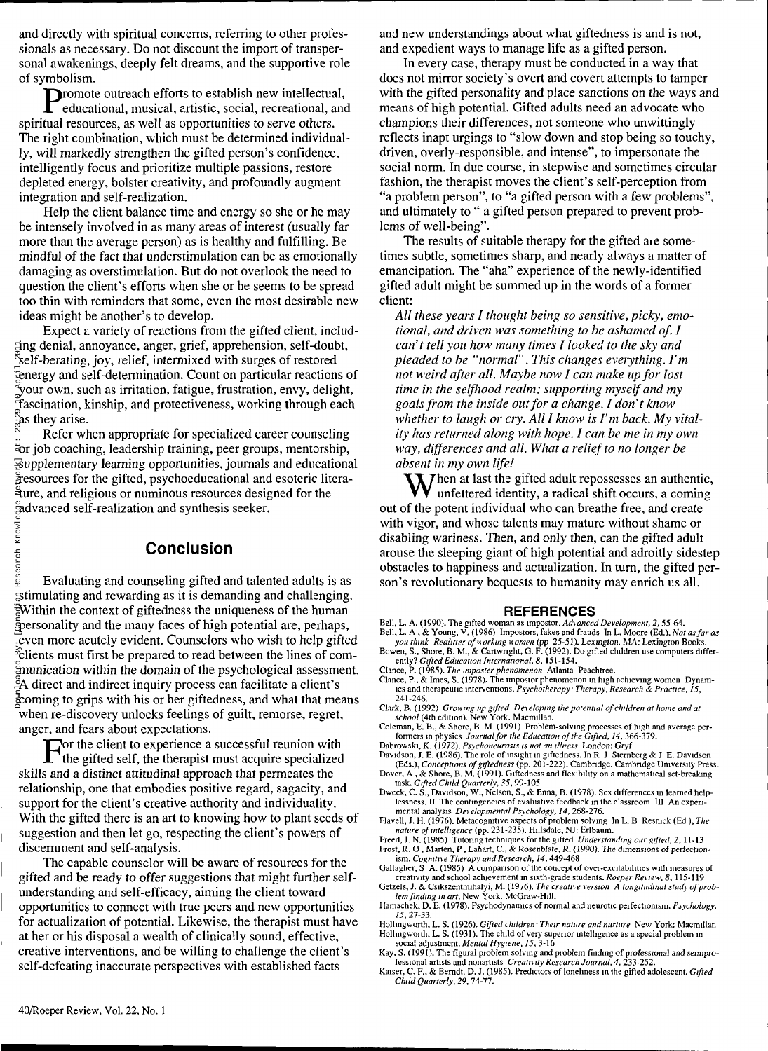and directly with spiritual concerns, referring to other professionals as necessary. Do not discount the import of transpersonal awakenings, deeply felt dreams, and the supportive role of symbolism.

Promote outreach efforts to establish new intellectual,<br>educational, musical, artistic, social, recreational, and educational, musical, artistic, social, recreational, and spiritual resources, as well as opportunities to serve others. The right combination, which must be determined individually, will markedly strengthen the gifted person's confidence, intelligently focus and prioritize multiple passions, restore depleted energy, bolster creativity, and profoundly augment integration and self-realization.

Help the client balance time and energy so she or he may be intensely involved in as many areas of interest (usually far more than the average person) as is healthy and fulfilling. Be mindful of the fact that understimulation can be as emotionally damaging as overstimulation. But do not overlook the need to question the client's efforts when she or he seems to be spread too thin with reminders that some, even the most desirable new ideas might be another's to develop.

Expect a variety of reactions from the gifted client, including denial, annoyance, anger, grief, apprehension, self-doubt, self-berating, joy, relief, intermixed with surges of restored energy and self-determination. Count on particular reactions of  $\tilde{\mathbb{y}}$ our own, such as irritation, fatigue, frustration, envy, delight, fascination, kinship, and protectiveness, working through each as they arise.

Refer when appropriate for specialized career counseling or job coaching, leadership training, peer groups, mentorship, supplementary learning opportunities, journals and educational resources for the gifted, psychoeducational and esoteric literature, and religious or numinous resources designed for the advanced self-realization and synthesis seeker.

#### Conclusion

Evaluating and counseling gifted and talented adults is as stimulating and rewarding as it is demanding and challenging. Within the context of giftedness the uniqueness of the human personality and the many faces of high potential are, perhaps, even more acutely evident. Counselors who wish to help gifted clients must first be prepared to read between the lines of communication within the domain of the psychological assessment. <sup>5</sup> A direct and indirect inquiry process can facilitate a client's coming to grips with his or her giftedness, and what that means when re-discovery unlocks feelings of guilt, remorse, regret, anger, and fears about expectations. Expecting denial, annoyance, anges and self-berating, joy, relief, interprety and self-determination fascination, kinship, and propriate the second section. Hinsing and the section of the search and research the section o

 $\Gamma$  or the client to experience a successful reunion with the gifted self, the therapist must acquire specialized the gifted self, the therapist must acquire specialized skills and a distinct attitudinal approach that permeates the relationship, one that embodies positive regard, sagacity, and support for the client's creative authority and individuality. With the gifted there is an art to knowing how to plant seeds of suggestion and then let go, respecting the client's powers of discernment and self-analysis.

The capable counselor will be aware of resources for the gifted and be ready to offer suggestions that might further selfunderstanding and self-efficacy, aiming the client toward opportunities to connect with true peers and new opportunities for actualization of potential. Likewise, the therapist must have at her or his disposal a wealth of clinically sound, effective, creative interventions, and be willing to challenge the client's self-defeating inaccurate perspectives with established facts

and new understandings about what giftedness is and is not, and expedient ways to manage life as a gifted person.

In every case, therapy must be conducted in a way that does not mirror society's overt and covert attempts to tamper with the gifted personality and place sanctions on the ways and means of high potential. Gifted adults need an advocate who champions their differences, not someone who unwittingly reflects inapt urgings to "slow down and stop being so touchy, driven, overly-responsible, and intense", to impersonate the social norm. In due course, in stepwise and sometimes circular fashion, the therapist moves the client's self-perception from "a problem person", to "a gifted person with a few problems", and ultimately to " a gifted person prepared to prevent problems of well-being".

The results of suitable therapy for the gifted aie sometimes subtle, sometimes sharp, and nearly always a matter of emancipation. The "aha" experience of the newly-identified gifted adult might be summed up in the words of a former client:

*All these years I thought being so sensitive, picky, emotional, and driven was something to be ashamed of. I can't tell you how many times I looked to the sky and pleaded to be "normal". This changes everything. I'm not weird after all. Maybe now I can make up for lost time in the selfhood realm; supporting myself and my goals from the inside out for a change. I don't know whether to laugh or cry. All I know is I'm back. My vitality has returned along with hope. I can be me in my own way, differences and all. What a relief to no longer be absent in my own life!*

 $\sum$  Then at last the gifted adult repossesses an authentic, unfettered identity, a radical shift occurs, a coming out of the potent individual who can breathe free, and create with vigor, and whose talents may mature without shame or disabling wariness. Then, and only then, can the gifted adult arouse the sleeping giant of high potential and adroitly sidestep obstacles to happiness and actualization. In turn, the gifted person's revolutionary bequests to humanity may enrich us all.

#### **REFERENCES**

Bell, L. A. (1990). The gifted woman as impostor. *Advanced Development, 2,* 55-64. Bell, L. A., & Young, V. (1986). Impostors, fakes and frauds. In L. Moore (Ed.), *Not as far as*

*you think: Realities of working women* (pp. 25-51). Lexington, MA: Lexington Books. Bowen, S., Shore, B. M., & Cartwright, G. F. (1992). Do gifted children use computers differently? *Gifted Education International, 8,* 151-154.

Clance, P. (1985)*. The imposter phenomenon* Atlanta Peachtree.<br>Clance, P., & Imes, S. (1978). The impostor phenomenon in high achieving women: Dynamics and therapeutic interventions. *Psychotherapy: Therapy, Research & Practice, 15,*

241-246. Clark, B. (1992). *Growing up gifted: Developing the potential of children at home and at school* (4th edition). New York: Macmillan.

Coleman, E. B., & Shore, B. M. (1991). Problem-solving processes of high and average per-formers in physics. *Journal for the Education of the Gifted, 14,* 366-379.

Dabrowski, K. (1972). *Psychoneurosis is not an illness.* London: Gryf. Davidson, J. E. (1986). The role of insight in giftedness. In R. J. Sternberg & J. E. Davidson

(Eds.), *Conceptions of giftedness* (pp. 201-222). Cambridge. Cambridge University Press.<br>Dover, A, & Shore, B. M. (1991). Giftedness and flexibility on a mathematical set-breaking<br>task. G*ifted Child Quarterly*, 35, 99-10

lessness. II. The contingencies of evaluative feedback in the classroom. III. An experimental analysis. *Developmental Psychology, 14,* 268-276.

Flavell, J. H. (1976). Metacognitive aspects of problem solving In L. B Resnick (Ed ), *The*<br>| nature of intelligence (pp. 231-235). Hillsdale, NJ: Erlbaum.<br>Freed, J. N. (1985). Tutoring techniques for the gifted *Understa* 

Frost, R. O., Marten, P., Lahart, C., & Rosenblate, R. (1990). The dimensions of perfection-ism. *Cognitive Therapy and Research, 14,* 449-468.

Gallagher, S<sup>°</sup>A. (1985). A comparison of the concept of over-excitabilities with measures of creativity and school achievement in sixth-grade students. *Roeper Review, 8,* 115-119.

Getzels, J. & Csikszentmihalyi, M. (1976). *The creative version: A longitudinal study of problem finding in art.* New York: McGraw-Hill.

Hamachek, D. E. (1978). Psychodynamics of normal and neurotic perfectionism. *Psychology, 15,* 27-33.

Hollingworth, L. S. (1926). *Gifted children: Their nature and nurture.* New York: Macmillan. Hollingworth, L. S. (1931). The child of very superior intelligence as a special problem in social adjustment. *Mental Hygiene, 15,* 3-16.

Kay, S. (1991). The figural problem solving and problem finding of professional and semiprofessional artists and nonartists. *Creativity Research Journal, 4,* 233-252.

Kaiser, C. F., & Berndt, D. J. (1985). Predictors of loneliness in the gifted adolescent. *Gifted Child Quarterly, 29,* 74-77.